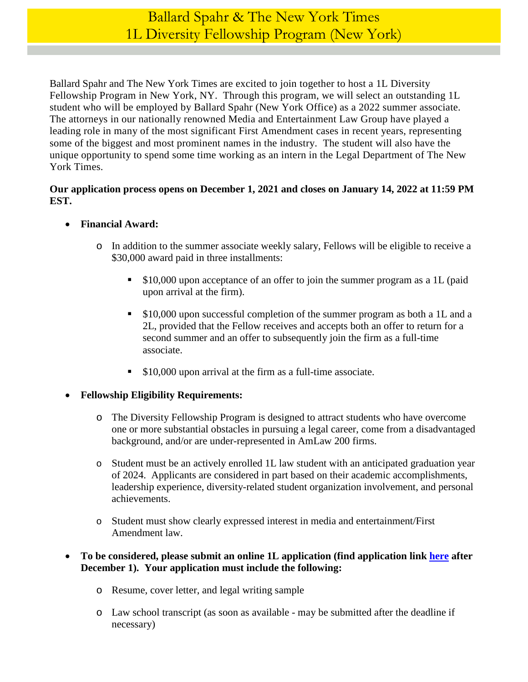Ballard Spahr and The New York Times are excited to join together to host a 1L Diversity Fellowship Program in New York, NY. Through this program, we will select an outstanding 1L student who will be employed by Ballard Spahr (New York Office) as a 2022 summer associate. The attorneys in our nationally renowned Media and Entertainment Law Group have played a leading role in many of the most significant First Amendment cases in recent years, representing some of the biggest and most prominent names in the industry. The student will also have the unique opportunity to spend some time working as an intern in the Legal Department of The New York Times.

## **Our application process opens on December 1, 2021 and closes on January 14, 2022 at 11:59 PM EST.**

- **Financial Award:** 
	- o In addition to the summer associate weekly salary, Fellows will be eligible to receive a \$30,000 award paid in three installments:
		- \$10,000 upon acceptance of an offer to join the summer program as a 1L (paid upon arrival at the firm).
		- \$10,000 upon successful completion of the summer program as both a 1L and a 2L, provided that the Fellow receives and accepts both an offer to return for a second summer and an offer to subsequently join the firm as a full-time associate.
		- **S10,000 upon arrival at the firm as a full-time associate.**
- **Fellowship Eligibility Requirements:** 
	- o The Diversity Fellowship Program is designed to attract students who have overcome one or more substantial obstacles in pursuing a legal career, come from a disadvantaged background, and/or are under-represented in AmLaw 200 firms.
	- o Student must be an actively enrolled 1L law student with an anticipated graduation year of 2024. Applicants are considered in part based on their academic accomplishments, leadership experience, diversity-related student organization involvement, and personal achievements.
	- o Student must show clearly expressed interest in media and entertainment/First Amendment law.

## **To be considered, please submit an online 1L application (find application link [here](https://www.ballardspahr.com/Careers/Law-Students/Law-Students-Apply) after December 1). Your application must include the following:**

- o Resume, cover letter, and legal writing sample
- o Law school transcript (as soon as available may be submitted after the deadline if necessary)